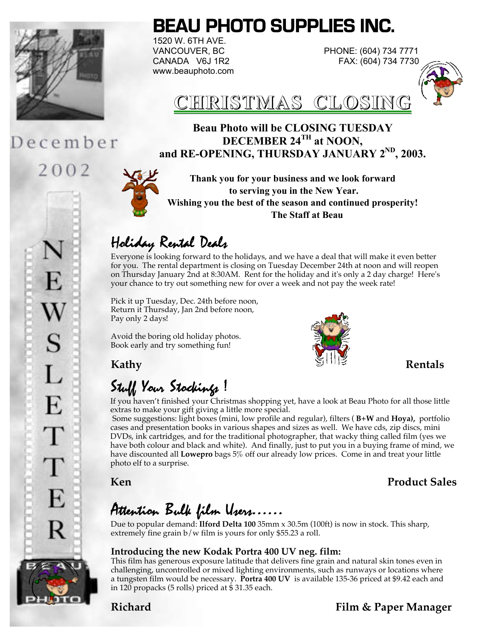

December

2002

# **BEAU PHOTO SUPPLIES INC.**

1520 W. 6TH AVE. www.beauphoto.com

VANCOUVER, BC PHONE: (604) 734 7771 CANADA V6J 1R2 FAX: (604) 734 7730





### **Beau Photo will be CLOSING TUESDAY DECEMBER 24TH at NOON, and RE-OPENING, THURSDAY JANUARY 2ND, 2003.**

**Thank you for your business and we look forward to serving you in the New Year. Wishing you the best of the season and continued prosperity! The Staff at Beau**

## Holiday Rental Deals

Everyone is looking forward to the holidays, and we have a deal that will make it even better for you. The rental department is closing on Tuesday December 24th at noon and will reopen on Thursday January 2nd at 8:30AM. Rent for the holiday and it's only a 2 day charge! Here's your chance to try out something new for over a week and not pay the week rate!

Pick it up Tuesday, Dec. 24th before noon, Return it Thursday, Jan 2nd before noon, Pay only 2 days!

Avoid the boring old holiday photos. Book early and try something fun!



# Stuff Your Stockings !

If you haven't finished your Christmas shopping yet, have a look at Beau Photo for all those little extras to make your gift giving a little more special.

 Some suggestions: light boxes (mini, low profile and regular), filters ( **B+W** and **Hoya),** portfolio cases and presentation books in various shapes and sizes as well. We have cds, zip discs, mini DVDs, ink cartridges, and for the traditional photographer, that wacky thing called film (yes we have both colour and black and white). And finally, just to put you in a buying frame of mind, we have discounted all **Lowepro** bags 5% off our already low prices. Come in and treat your little photo elf to a surprise.

**Ken** Product Sales

## Attention Bulk film Users……

Due to popular demand: **Ilford Delta 100** 35mm x 30.5m (100ft) is now in stock. This sharp, extremely fine grain b/w film is yours for only \$55.23 a roll.

### **Introducing the new Kodak Portra 400 UV neg. film:**

This film has generous exposure latitude that delivers fine grain and natural skin tones even in challenging, uncontrolled or mixed lighting environments, such as runways or locations where a tungsten film would be necessary. **Portra 400 UV** is available 135-36 priced at \$9.42 each and in 120 propacks (5 rolls) priced at \$ 31.35 each.

S  $\mathbf{I}$ E E.



**Richard Film & Paper Manager**